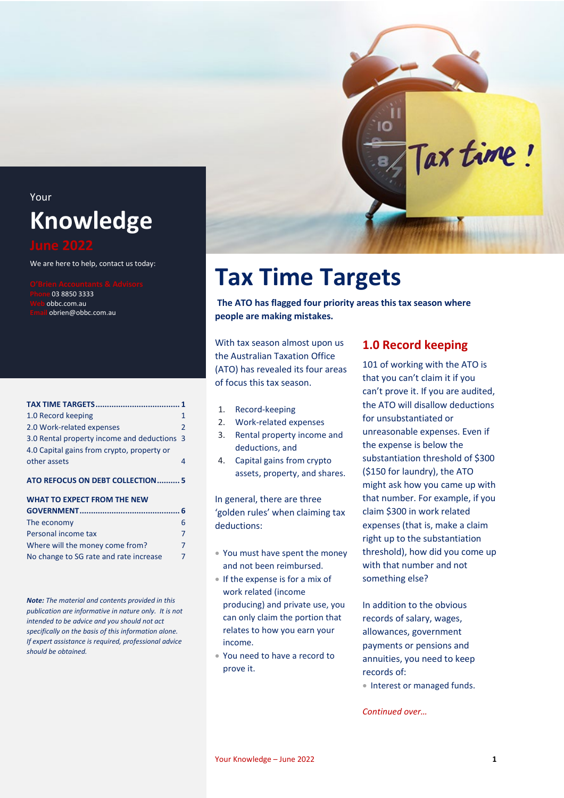## Your **Knowledge**

We are here to help, contact us today:

**Phone** 03 8850 3333 **Web** obbc.com.au **Email** obrien@obbc.com.au

| 1.0 Record keeping                          |   |
|---------------------------------------------|---|
| 2.0 Work-related expenses                   | 2 |
| 3.0 Rental property income and deductions 3 |   |
| 4.0 Capital gains from crypto, property or  |   |
| other assets                                |   |
|                                             |   |

#### **[ATO REFOCUS ON DEBT COLLECTION..........](#page-4-0) 5**

#### **[WHAT TO EXPECT FROM THE NEW](#page-5-0)**

| The economy                            | 6 |
|----------------------------------------|---|
| Personal income tax                    | 7 |
| Where will the money come from?        | 7 |
| No change to SG rate and rate increase | 7 |

*Note: The material and contents provided in this publication are informative in nature only. It is not intended to be advice and you should not act specifically on the basis of this information alone. If expert assistance is required, professional advice should be obtained.*

## **Tax Time Targets**

<span id="page-0-0"></span>**The ATO has flagged four priority areas this tax season where people are making mistakes.**

With tax season almost upon us the Australian Taxation Office (ATO) has revealed its four areas of focus this tax season.

- 1. Record-keeping
- 2. Work-related expenses
- 3. Rental property income and deductions, and
- 4. Capital gains from crypto assets, property, and shares.

In general, there are three 'golden rules' when claiming tax deductions:

- You must have spent the money and not been reimbursed.
- If the expense is for a mix of work related (income producing) and private use, you can only claim the portion that relates to how you earn your income.
- You need to have a record to prove it.

#### <span id="page-0-1"></span>**1.0 Record keeping**

Tax time!

101 of working with the ATO is that you can't claim it if you can't prove it. If you are audited, the ATO will disallow deductions for unsubstantiated or unreasonable expenses. Even if the expense is below the substantiation threshold of \$300 (\$150 for laundry), the ATO might ask how you came up with that number. For example, if you claim \$300 in work related expenses (that is, make a claim right up to the substantiation threshold), how did you come up with that number and not something else?

In addition to the obvious records of salary, wages, allowances, government payments or pensions and annuities, you need to keep records of:

• Interest or managed funds.

*Continued over…*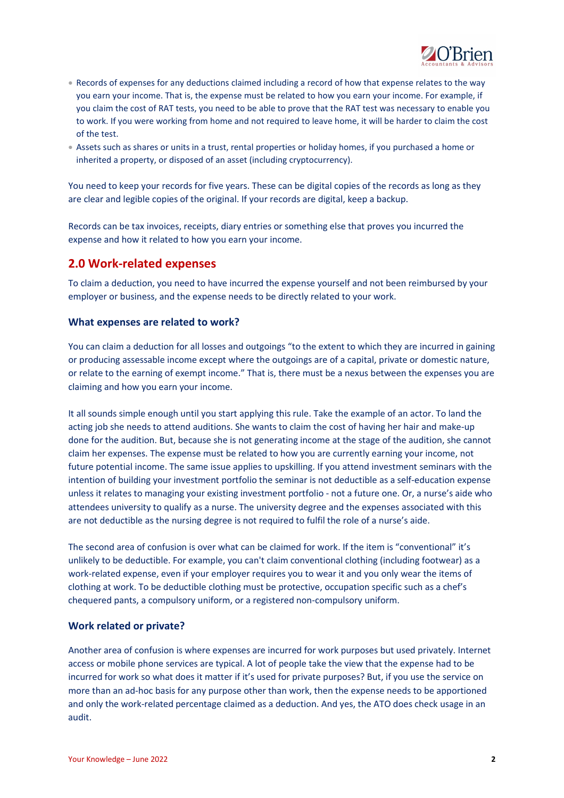

- Records of expenses for any deductions claimed including a record of how that expense relates to the way you earn your income. That is, the expense must be related to how you earn your income. For example, if you claim the cost of RAT tests, you need to be able to prove that the RAT test was necessary to enable you to work. If you were working from home and not required to leave home, it will be harder to claim the cost of the test.
- Assets such as shares or units in a trust, rental properties or holiday homes, if you purchased a home or inherited a property, or disposed of an asset (including cryptocurrency).

You need to keep your records for five years. These can be digital copies of the records as long as they are clear and legible copies of the original. If your records are digital, keep a backup.

Records can be tax invoices, receipts, diary entries or something else that proves you incurred the expense and how it related to how you earn your income.

#### <span id="page-1-0"></span>**2.0 Work-related expenses**

To claim a deduction, you need to have incurred the expense yourself and not been reimbursed by your employer or business, and the expense needs to be directly related to your work.

#### **What expenses are related to work?**

You can claim a deduction for all losses and outgoings "to the extent to which they are incurred in gaining or producing assessable income except where the outgoings are of a capital, private or domestic nature, or relate to the earning of exempt income." That is, there must be a nexus between the expenses you are claiming and how you earn your income.

It all sounds simple enough until you start applying this rule. Take the example of an actor. To land the acting job she needs to attend auditions. She wants to claim the cost of having her hair and make-up done for the audition. But, because she is not generating income at the stage of the audition, she cannot claim her expenses. The expense must be related to how you are currently earning your income, not future potential income. The same issue applies to upskilling. If you attend investment seminars with the intention of building your investment portfolio the seminar is not deductible as a self-education expense unless it relates to managing your existing investment portfolio - not a future one. Or, a nurse's aide who attendees university to qualify as a nurse. The university degree and the expenses associated with this are not deductible as the nursing degree is not required to fulfil the role of a nurse's aide.

The second area of confusion is over what can be claimed for work. If the item is "conventional" it's unlikely to be deductible. For example, you can't claim conventional clothing (including footwear) as a work-related expense, even if your employer requires you to wear it and you only wear the items of clothing at work. To be deductible clothing must be protective, occupation specific such as a chef's chequered pants, a compulsory uniform, or a registered non-compulsory uniform.

#### **Work related or private?**

Another area of confusion is where expenses are incurred for work purposes but used privately. Internet access or mobile phone services are typical. A lot of people take the view that the expense had to be incurred for work so what does it matter if it's used for private purposes? But, if you use the service on more than an ad-hoc basis for any purpose other than work, then the expense needs to be apportioned and only the work-related percentage claimed as a deduction. And yes, the ATO does check usage in an audit.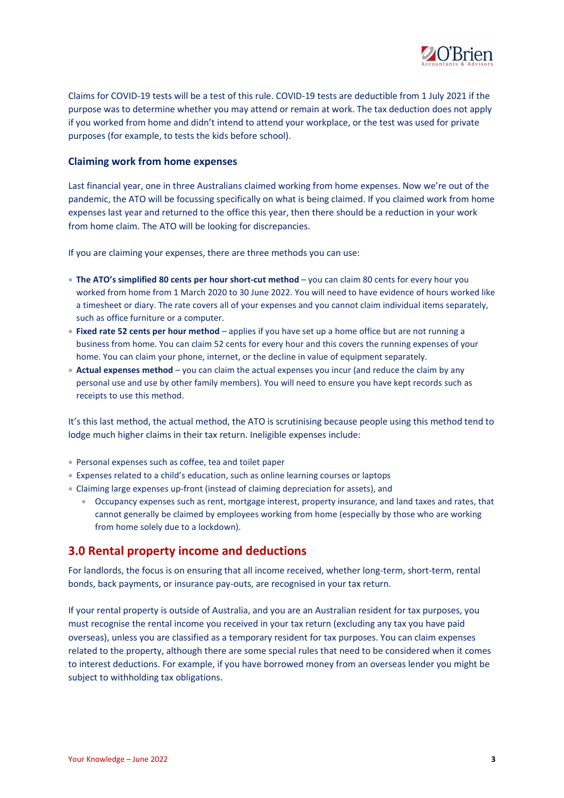

Claims for COVID-19 tests will be a test of this rule. COVID-19 tests are deductible from 1 July 2021 if the purpose was to determine whether you may attend or remain at work. The tax deduction does not apply if you worked from home and didn't intend to attend your workplace, or the test was used for private purposes (for example, to tests the kids before school).

#### **Claiming work from home expenses**

Last financial year, one in three Australians claimed working from home expenses. Now we're out of the pandemic, the ATO will be focussing specifically on what is being claimed. If you claimed work from home expenses last year and returned to the office this year, then there should be a reduction in your work from home claim. The ATO will be looking for discrepancies.

If you are claiming your expenses, there are three methods you can use:

- **The ATO's simplified 80 cents per hour short-cut method** you can claim 80 cents for every hour you worked from home from 1 March 2020 to 30 June 2022. You will need to have evidence of hours worked like a timesheet or diary. The rate covers all of your expenses and you cannot claim individual items separately, such as office furniture or a computer.
- **Fixed rate 52 cents per hour method** applies if you have set up a home office but are not running a business from home. You can claim 52 cents for every hour and this covers the running expenses of your home. You can claim your phone, internet, or the decline in value of equipment separately.
- **Actual expenses method** you can claim the actual expenses you incur (and reduce the claim by any personal use and use by other family members). You will need to ensure you have kept records such as receipts to use this method.

It's this last method, the actual method, the ATO is scrutinising because people using this method tend to lodge much higher claims in their tax return. Ineligible expenses include:

- Personal expenses such as coffee, tea and toilet paper
- Expenses related to a child's education, such as online learning courses or laptops
- Claiming large expenses up-front (instead of claiming depreciation for assets), and
	- Occupancy expenses such as rent, mortgage interest, property insurance, and land taxes and rates, that cannot generally be claimed by employees working from home (especially by those who are working from home solely due to a lockdown).

#### <span id="page-2-0"></span>**3.0 Rental property income and deductions**

For landlords, the focus is on ensuring that all income received, whether long-term, short-term, rental bonds, back payments, or insurance pay-outs, are recognised in your tax return.

If your rental property is outside of Australia, and you are an Australian resident for tax purposes, you must recognise the rental income you received in your tax return (excluding any tax you have paid overseas), unless you are classified as a temporary resident for tax purposes. You can claim expenses related to the property, although there are some special rules that need to be considered when it comes to interest deductions. For example, if you have borrowed money from an overseas lender you might be subject to withholding tax obligations.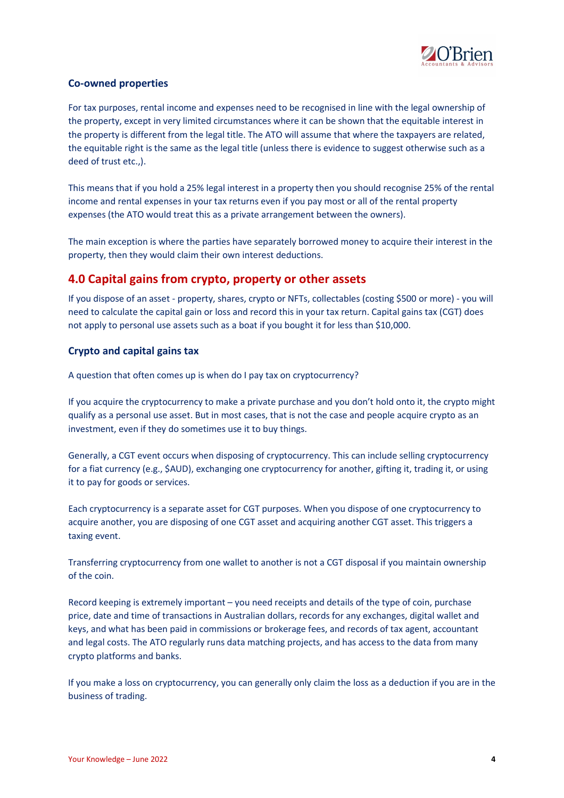

#### **Co-owned properties**

For tax purposes, rental income and expenses need to be recognised in line with the legal ownership of the property, except in very limited circumstances where it can be shown that the equitable interest in the property is different from the legal title. The ATO will assume that where the taxpayers are related, the equitable right is the same as the legal title (unless there is evidence to suggest otherwise such as a deed of trust etc.,).

This means that if you hold a 25% legal interest in a property then you should recognise 25% of the rental income and rental expenses in your tax returns even if you pay most or all of the rental property expenses (the ATO would treat this as a private arrangement between the owners).

The main exception is where the parties have separately borrowed money to acquire their interest in the property, then they would claim their own interest deductions.

#### <span id="page-3-0"></span>**4.0 Capital gains from crypto, property or other assets**

If you dispose of an asset - property, shares, crypto or NFTs, collectables (costing \$500 or more) - you will need to calculate the capital gain or loss and record this in your tax return. Capital gains tax (CGT) does not apply to personal use assets such as a boat if you bought it for less than \$10,000.

#### **Crypto and capital gains tax**

A question that often comes up is when do I pay tax on cryptocurrency?

If you acquire the cryptocurrency to make a private purchase and you don't hold onto it, the crypto might qualify as a personal use asset. But in most cases, that is not the case and people acquire crypto as an investment, even if they do sometimes use it to buy things.

Generally, a CGT event occurs when disposing of cryptocurrency. This can include selling cryptocurrency for a fiat currency (e.g., \$AUD), exchanging one cryptocurrency for another, gifting it, trading it, or using it to pay for goods or services.

Each cryptocurrency is a separate asset for CGT purposes. When you dispose of one cryptocurrency to acquire another, you are disposing of one CGT asset and acquiring another CGT asset. This triggers a taxing event.

Transferring cryptocurrency from one wallet to another is not a CGT disposal if you maintain ownership of the coin.

Record keeping is extremely important – you need receipts and details of the type of coin, purchase price, date and time of transactions in Australian dollars, records for any exchanges, digital wallet and keys, and what has been paid in commissions or brokerage fees, and records of tax agent, accountant and legal costs. The ATO regularly runs data matching projects, and has access to the data from many crypto platforms and banks.

If you make a loss on cryptocurrency, you can generally only claim the loss as a deduction if you are in the business of trading.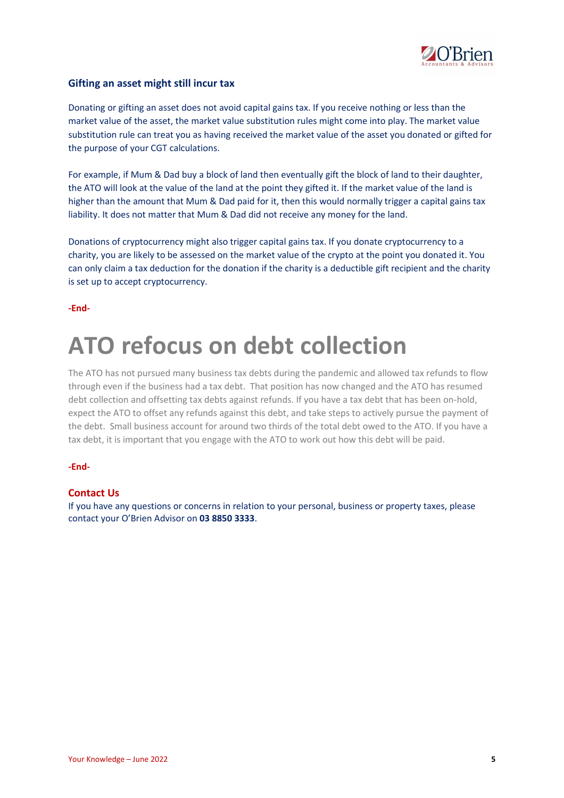

#### **Gifting an asset might still incur tax**

Donating or gifting an asset does not avoid capital gains tax. If you receive nothing or less than the market value of the asset, the market value substitution rules might come into play. The market value substitution rule can treat you as having received the market value of the asset you donated or gifted for the purpose of your CGT calculations.

For example, if Mum & Dad buy a block of land then eventually gift the block of land to their daughter, the ATO will look at the value of the land at the point they gifted it. If the market value of the land is higher than the amount that Mum & Dad paid for it, then this would normally trigger a capital gains tax liability. It does not matter that Mum & Dad did not receive any money for the land.

Donations of cryptocurrency might also trigger capital gains tax. If you donate cryptocurrency to a charity, you are likely to be assessed on the market value of the crypto at the point you donated it. You can only claim a tax deduction for the donation if the charity is a deductible gift recipient and the charity is set up to accept cryptocurrency.

**-End-**

# <span id="page-4-0"></span>**ATO refocus on debt collection**

The ATO has not pursued many business tax debts during the pandemic and allowed tax refunds to flow through even if the business had a tax debt. That position has now changed and the ATO has resumed debt collection and offsetting tax debts against refunds. If you have a tax debt that has been on-hold, expect the ATO to offset any refunds against this debt, and take steps to actively pursue the payment of the debt. Small business account for around two thirds of the total debt owed to the ATO. If you have a tax debt, it is important that you engage with the ATO to work out how this debt will be paid.

#### **-End-**

#### **Contact Us**

If you have any questions or concerns in relation to your personal, business or property taxes, please contact your O'Brien Advisor on **03 8850 3333**.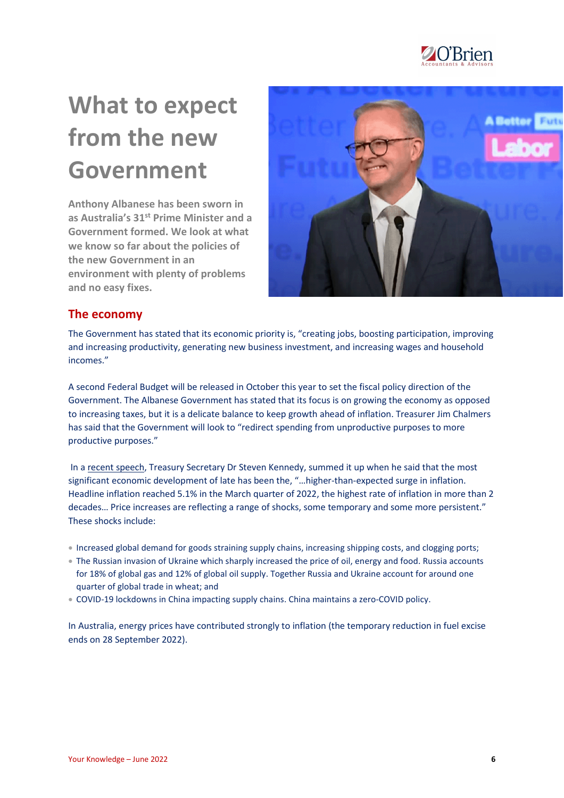

# <span id="page-5-0"></span>**What to expect from the new Government**

**Anthony Albanese has been sworn in as Australia's 31st Prime Minister and a Government formed. We look at what we know so far about the policies of the new Government in an environment with plenty of problems and no easy fixes.**



#### <span id="page-5-1"></span>**The economy**

The Government has stated that its economic priority is, "creating jobs, boosting participation, improving and increasing productivity, generating new business investment, and increasing wages and household incomes."

A second Federal Budget will be released in October this year to set the fiscal policy direction of the Government. The Albanese Government has stated that its focus is on growing the economy as opposed to increasing taxes, but it is a delicate balance to keep growth ahead of inflation. Treasurer Jim Chalmers has said that the Government will look to "redirect spending from unproductive purposes to more productive purposes."

In [a recent speech,](https://treasury.gov.au/sites/default/files/2022-06/220608-drkennedy-abeaddress.pdf) Treasury Secretary Dr Steven Kennedy, summed it up when he said that the most significant economic development of late has been the, "…higher-than-expected surge in inflation. Headline inflation reached 5.1% in the March quarter of 2022, the highest rate of inflation in more than 2 decades… Price increases are reflecting a range of shocks, some temporary and some more persistent." These shocks include:

- Increased global demand for goods straining supply chains, increasing shipping costs, and clogging ports;
- The Russian invasion of Ukraine which sharply increased the price of oil, energy and food. Russia accounts for 18% of global gas and 12% of global oil supply. Together Russia and Ukraine account for around one quarter of global trade in wheat; and
- COVID-19 lockdowns in China impacting supply chains. China maintains a zero-COVID policy.

In Australia, energy prices have contributed strongly to inflation (the temporary reduction in fuel excise ends on 28 September 2022).